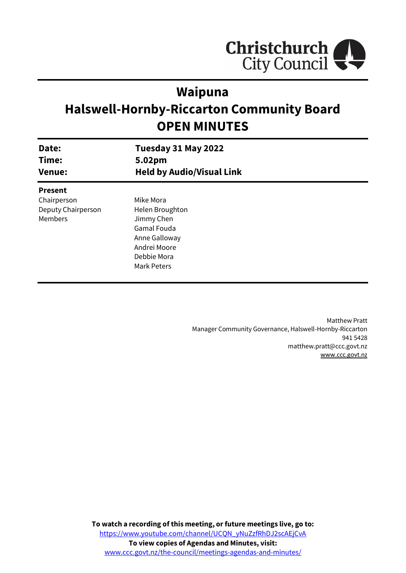

# **Waipuna**

# **Halswell-Hornby-Riccarton Community Board OPEN MINUTES**

| Date:<br>Time:<br><b>Venue:</b> | Tuesday 31 May 2022<br>5.02pm<br><b>Held by Audio/Visual Link</b> |  |
|---------------------------------|-------------------------------------------------------------------|--|
| <b>Present</b>                  |                                                                   |  |
| Chairperson                     | Mike Mora                                                         |  |
| Deputy Chairperson              | Helen Broughton                                                   |  |
| Members                         | Jimmy Chen                                                        |  |
|                                 | <b>Gamal Fouda</b>                                                |  |
|                                 | Anne Galloway                                                     |  |
|                                 | Andrei Moore                                                      |  |
|                                 | Debbie Mora                                                       |  |
|                                 | <b>Mark Peters</b>                                                |  |
|                                 |                                                                   |  |

Matthew Pratt Manager Community Governance, Halswell-Hornby-Riccarton 941 5428 matthew.pratt@ccc.govt.nz [www.ccc.govt.nz](http://www.ccc.govt.nz/)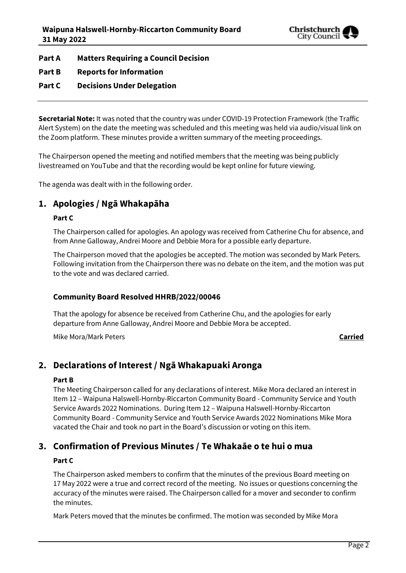

**Part A Matters Requiring a Council Decision**

- **Part B Reports for Information**
- **Part C Decisions Under Delegation**

**Secretarial Note:** It was noted that the country was under COVID-19 Protection Framework (the Traffic Alert System) on the date the meeting was scheduled and this meeting was held via audio/visual link on the Zoom platform. These minutes provide a written summary of the meeting proceedings.

The Chairperson opened the meeting and notified members that the meeting was being publicly livestreamed on YouTube and that the recording would be kept online for future viewing.

The agenda was dealt with in the following order.

# **1. Apologies / Ngā Whakapāha**

#### **Part C**

The Chairperson called for apologies. An apology was received from Catherine Chu for absence, and from Anne Galloway, Andrei Moore and Debbie Mora for a possible early departure.

The Chairperson moved that the apologies be accepted. The motion was seconded by Mark Peters. Following invitation from the Chairperson there was no debate on the item, and the motion was put to the vote and was declared carried.

#### **Community Board Resolved HHRB/2022/00046**

That the apology for absence be received from Catherine Chu, and the apologies for early departure from Anne Galloway, Andrei Moore and Debbie Mora be accepted.

Mike Mora/Mark Peters **Carried**

# **2. Declarations of Interest / Ngā Whakapuaki Aronga**

#### **Part B**

The Meeting Chairperson called for any declarations of interest. Mike Mora declared an interest in Item 12 – Waipuna Halswell-Hornby-Riccarton Community Board - Community Service and Youth Service Awards 2022 Nominations. During Item 12 – Waipuna Halswell-Hornby-Riccarton Community Board - Community Service and Youth Service Awards 2022 Nominations Mike Mora vacated the Chair and took no part in the Board's discussion or voting on this item.

# **3. Confirmation of Previous Minutes / Te Whakaāe o te hui o mua**

#### **Part C**

The Chairperson asked members to confirm that the minutes of the previous Board meeting on 17 May 2022 were a true and correct record of the meeting. No issues or questions concerning the accuracy of the minutes were raised. The Chairperson called for a mover and seconder to confirm the minutes.

Mark Peters moved that the minutes be confirmed. The motion was seconded by Mike Mora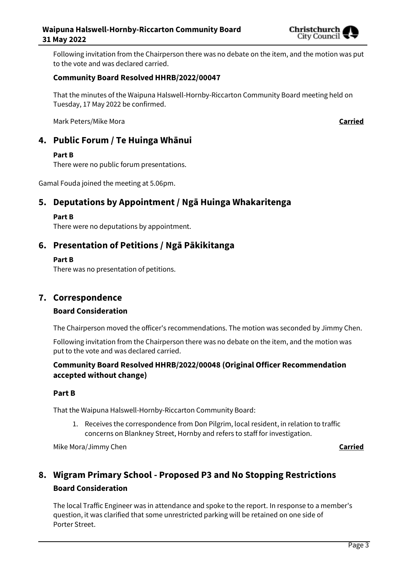

Following invitation from the Chairperson there was no debate on the item, and the motion was put to the vote and was declared carried.

#### **Community Board Resolved HHRB/2022/00047**

That the minutes of the Waipuna Halswell-Hornby-Riccarton Community Board meeting held on Tuesday, 17 May 2022 be confirmed.

Mark Peters/Mike Mora **Carried**

# **4. Public Forum / Te Huinga Whānui**

#### **Part B**

There were no public forum presentations.

Gamal Fouda joined the meeting at 5.06pm.

# **5. Deputations by Appointment / Ngā Huinga Whakaritenga**

#### **Part B**

There were no deputations by appointment.

## **6. Presentation of Petitions / Ngā Pākikitanga**

#### **Part B**

There was no presentation of petitions.

### **7. Correspondence**

#### **Board Consideration**

The Chairperson moved the officer's recommendations. The motion was seconded by Jimmy Chen.

Following invitation from the Chairperson there was no debate on the item, and the motion was put to the vote and was declared carried.

#### **Community Board Resolved HHRB/2022/00048 (Original Officer Recommendation accepted without change)**

#### **Part B**

That the Waipuna Halswell-Hornby-Riccarton Community Board:

1. Receives the correspondence from Don Pilgrim, local resident, in relation to traffic concerns on Blankney Street, Hornby and refers to staff for investigation.

Mike Mora/Jimmy Chen **Carried**

# **8. Wigram Primary School - Proposed P3 and No Stopping Restrictions Board Consideration**

The local Traffic Engineer was in attendance and spoke to the report. In response to a member's question, it was clarified that some unrestricted parking will be retained on one side of Porter Street.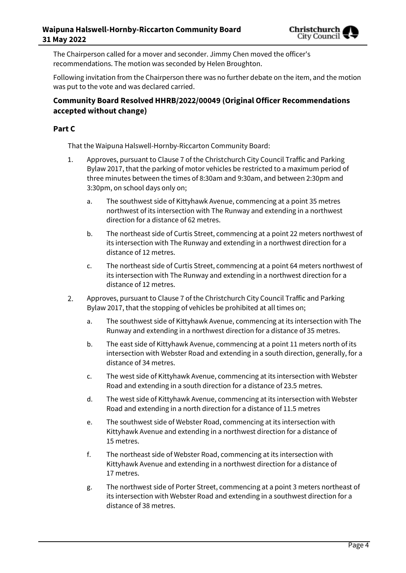The Chairperson called for a mover and seconder. Jimmy Chen moved the officer's recommendations. The motion was seconded by Helen Broughton.

Following invitation from the Chairperson there was no further debate on the item, and the motion was put to the vote and was declared carried.

#### **Community Board Resolved HHRB/2022/00049 (Original Officer Recommendations accepted without change)**

#### **Part C**

That the Waipuna Halswell-Hornby-Riccarton Community Board:

- 1. Approves, pursuant to Clause 7 of the Christchurch City Council Traffic and Parking Bylaw 2017, that the parking of motor vehicles be restricted to a maximum period of three minutes between the times of 8:30am and 9:30am, and between 2:30pm and 3:30pm, on school days only on;
	- a. The southwest side of Kittyhawk Avenue, commencing at a point 35 metres northwest of its intersection with The Runway and extending in a northwest direction for a distance of 62 metres.
	- b. The northeast side of Curtis Street, commencing at a point 22 meters northwest of its intersection with The Runway and extending in a northwest direction for a distance of 12 metres.
	- c. The northeast side of Curtis Street, commencing at a point 64 meters northwest of its intersection with The Runway and extending in a northwest direction for a distance of 12 metres.
- Approves, pursuant to Clause 7 of the Christchurch City Council Traffic and Parking 2. Bylaw 2017, that the stopping of vehicles be prohibited at all times on;
	- a. The southwest side of Kittyhawk Avenue, commencing at its intersection with The Runway and extending in a northwest direction for a distance of 35 metres.
	- b. The east side of Kittyhawk Avenue, commencing at a point 11 meters north of its intersection with Webster Road and extending in a south direction, generally, for a distance of 34 metres.
	- c. The west side of Kittyhawk Avenue, commencing at its intersection with Webster Road and extending in a south direction for a distance of 23.5 metres.
	- d. The west side of Kittyhawk Avenue, commencing at its intersection with Webster Road and extending in a north direction for a distance of 11.5 metres
	- e. The southwest side of Webster Road, commencing at its intersection with Kittyhawk Avenue and extending in a northwest direction for a distance of 15 metres.
	- f. The northeast side of Webster Road, commencing at its intersection with Kittyhawk Avenue and extending in a northwest direction for a distance of 17 metres.
	- g. The northwest side of Porter Street, commencing at a point 3 meters northeast of its intersection with Webster Road and extending in a southwest direction for a distance of 38 metres.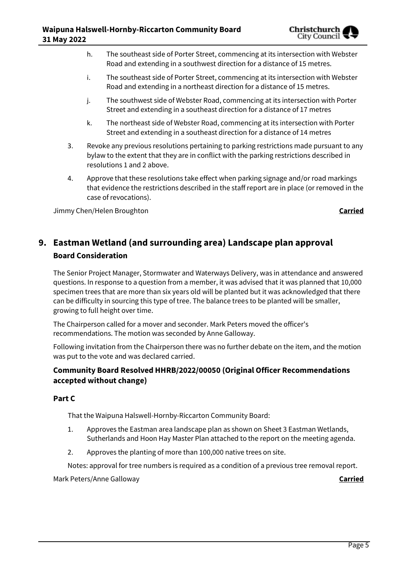- h. The southeast side of Porter Street, commencing at its intersection with Webster Road and extending in a southwest direction for a distance of 15 metres.
- i. The southeast side of Porter Street, commencing at its intersection with Webster Road and extending in a northeast direction for a distance of 15 metres.
- j. The southwest side of Webster Road, commencing at its intersection with Porter Street and extending in a southeast direction for a distance of 17 metres
- k. The northeast side of Webster Road, commencing at its intersection with Porter Street and extending in a southeast direction for a distance of 14 metres
- 3. Revoke any previous resolutions pertaining to parking restrictions made pursuant to any bylaw to the extent that they are in conflict with the parking restrictions described in resolutions 1 and 2 above.
- 4. Approve that these resolutions take effect when parking signage and/or road markings that evidence the restrictions described in the staff report are in place (or removed in the case of revocations).

Jimmy Chen/Helen Broughton **Carried**

# **9. Eastman Wetland (and surrounding area) Landscape plan approval Board Consideration**

The Senior Project Manager, Stormwater and Waterways Delivery, was in attendance and answered questions. In response to a question from a member, it was advised that it was planned that 10,000 specimen trees that are more than six years old will be planted but it was acknowledged that there can be difficulty in sourcing this type of tree. The balance trees to be planted will be smaller, growing to full height over time.

The Chairperson called for a mover and seconder. Mark Peters moved the officer's recommendations. The motion was seconded by Anne Galloway.

Following invitation from the Chairperson there was no further debate on the item, and the motion was put to the vote and was declared carried.

### **Community Board Resolved HHRB/2022/00050 (Original Officer Recommendations accepted without change)**

#### **Part C**

That the Waipuna Halswell-Hornby-Riccarton Community Board:

- 1. Approves the Eastman area landscape plan as shown on Sheet 3 Eastman Wetlands, Sutherlands and Hoon Hay Master Plan attached to the report on the meeting agenda.
- 2. Approves the planting of more than 100,000 native trees on site.

Notes: approval for tree numbers is required as a condition of a previous tree removal report.

Mark Peters/Anne Galloway **Carried**